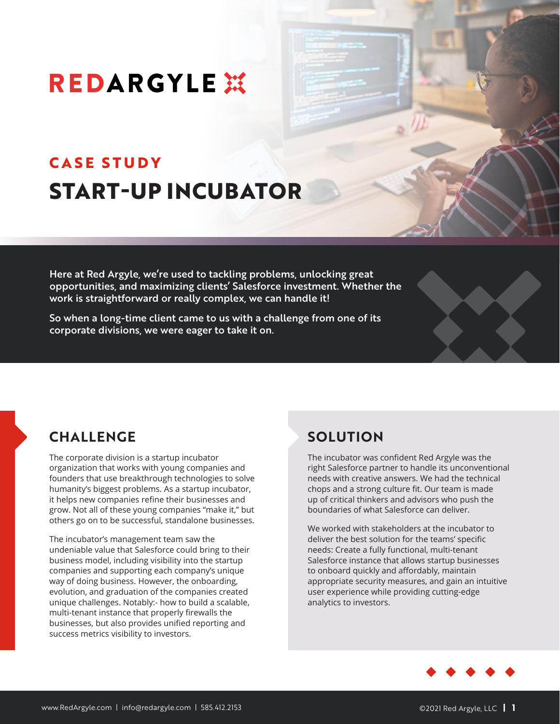# **REDARGYLE XX**

## **CASE STUDY START-UP INCUBATOR**

Here at Red Argyle, we're used to tackling problems, unlocking great opportunities, and maximizing clients' Salesforce investment. Whether the work is straightforward or really complex, we can handle it!

So when a long-time client came to us with a challenge from one of its corporate divisions, we were eager to take it on.

## **CHALLENGE**

The corporate division is a startup incubator organization that works with young companies and founders that use breakthrough technologies to solve humanity's biggest problems. As a startup incubator, it helps new companies refine their businesses and grow. Not all of these young companies "make it," but others go on to be successful, standalone businesses.

The incubator's management team saw the undeniable value that Salesforce could bring to their business model, including visibility into the startup companies and supporting each company's unique way of doing business. However, the onboarding, evolution, and graduation of the companies created unique challenges. Notably:- how to build a scalable, multi-tenant instance that properly firewalls the businesses, but also provides unified reporting and success metrics visibility to investors.

## **SOLUTION**

The incubator was confident Red Argyle was the right Salesforce partner to handle its unconventional needs with creative answers. We had the technical chops and a strong culture fit. Our team is made up of critical thinkers and advisors who push the boundaries of what Salesforce can deliver.

We worked with stakeholders at the incubator to deliver the best solution for the teams' specific needs: Create a fully functional, multi-tenant Salesforce instance that allows startup businesses to onboard quickly and affordably, maintain appropriate security measures, and gain an intuitive user experience while providing cutting-edge analytics to investors.